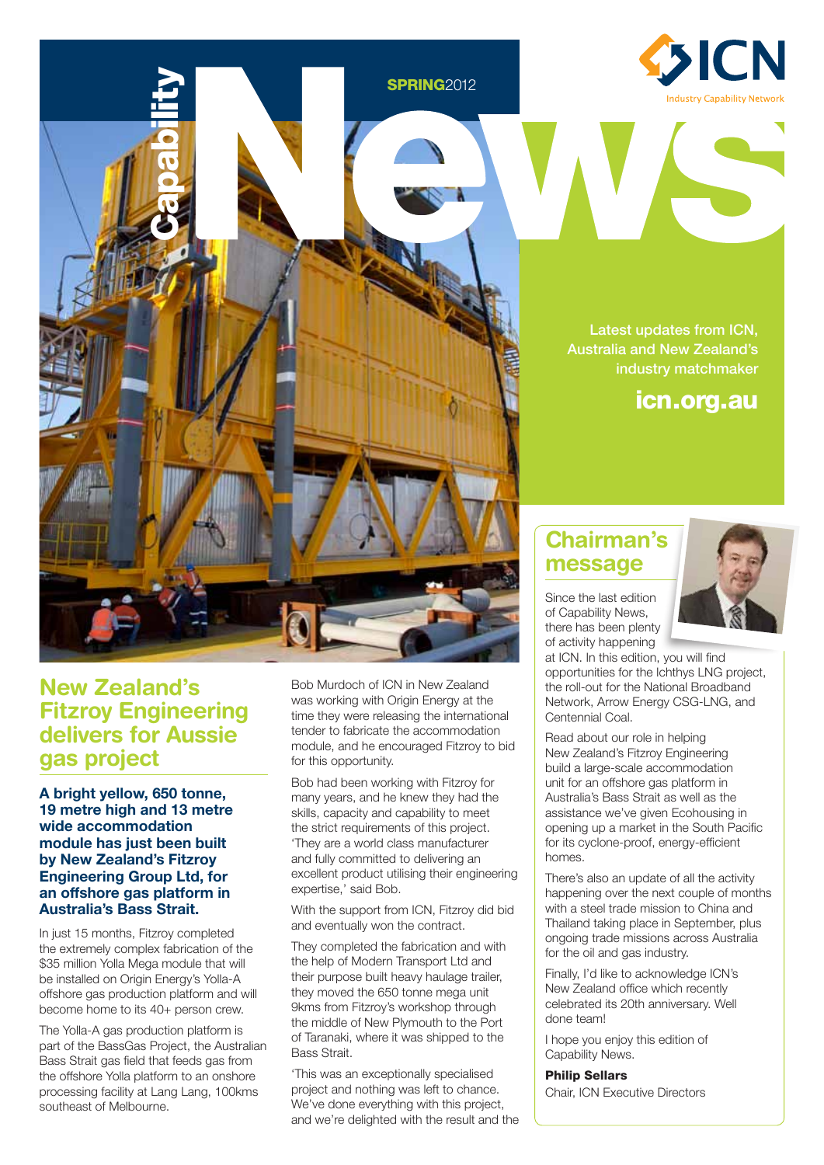

Latest updates from ICN, Australia and New Zealand's industry matchmaker

icn.org.au

### **New Zealand's Fitzroy Engineering delivers for Aussie gas project**

**Capability** 

**A bright yellow, 650 tonne, 19 metre high and 13 metre wide accommodation module has just been built by New Zealand's Fitzroy Engineering Group Ltd, for an offshore gas platform in Australia's Bass Strait.** 

In just 15 months, Fitzroy completed the extremely complex fabrication of the \$35 million Yolla Mega module that will be installed on Origin Energy's Yolla-A offshore gas production platform and will become home to its 40+ person crew.

The Yolla-A gas production platform is part of the BassGas Project, the Australian Bass Strait gas field that feeds gas from the offshore Yolla platform to an onshore processing facility at Lang Lang, 100kms southeast of Melbourne.

Bob Murdoch of ICN in New Zealand was working with Origin Energy at the time they were releasing the international tender to fabricate the accommodation module, and he encouraged Fitzroy to bid for this opportunity.

**SPRING**2012

Bob had been working with Fitzroy for many years, and he knew they had the skills, capacity and capability to meet the strict requirements of this project. 'They are a world class manufacturer and fully committed to delivering an excellent product utilising their engineering expertise,' said Bob.

With the support from ICN, Fitzroy did bid and eventually won the contract.

They completed the fabrication and with the help of Modern Transport Ltd and their purpose built heavy haulage trailer, they moved the 650 tonne mega unit 9kms from Fitzroy's workshop through the middle of New Plymouth to the Port of Taranaki, where it was shipped to the Bass Strait.

'This was an exceptionally specialised project and nothing was left to chance. We've done everything with this project, and we're delighted with the result and the

# **Chairman's message**

Since the last edition of Capability News, there has been plenty of activity happening



at ICN. In this edition, you will find opportunities for the Ichthys LNG project, the roll-out for the National Broadband Network, Arrow Energy CSG-LNG, and Centennial Coal.

Read about our role in helping New Zealand's Fitzroy Engineering build a large-scale accommodation unit for an offshore gas platform in Australia's Bass Strait as well as the assistance we've given Ecohousing in opening up a market in the South Pacific for its cyclone-proof, energy-efficient homes.

There's also an update of all the activity happening over the next couple of months with a steel trade mission to China and Thailand taking place in September, plus ongoing trade missions across Australia for the oil and gas industry.

Finally, I'd like to acknowledge ICN's New Zealand office which recently celebrated its 20th anniversary. Well done team!

I hope you enjoy this edition of Capability News.

### Philip Sellars

Chair, ICN Executive Directors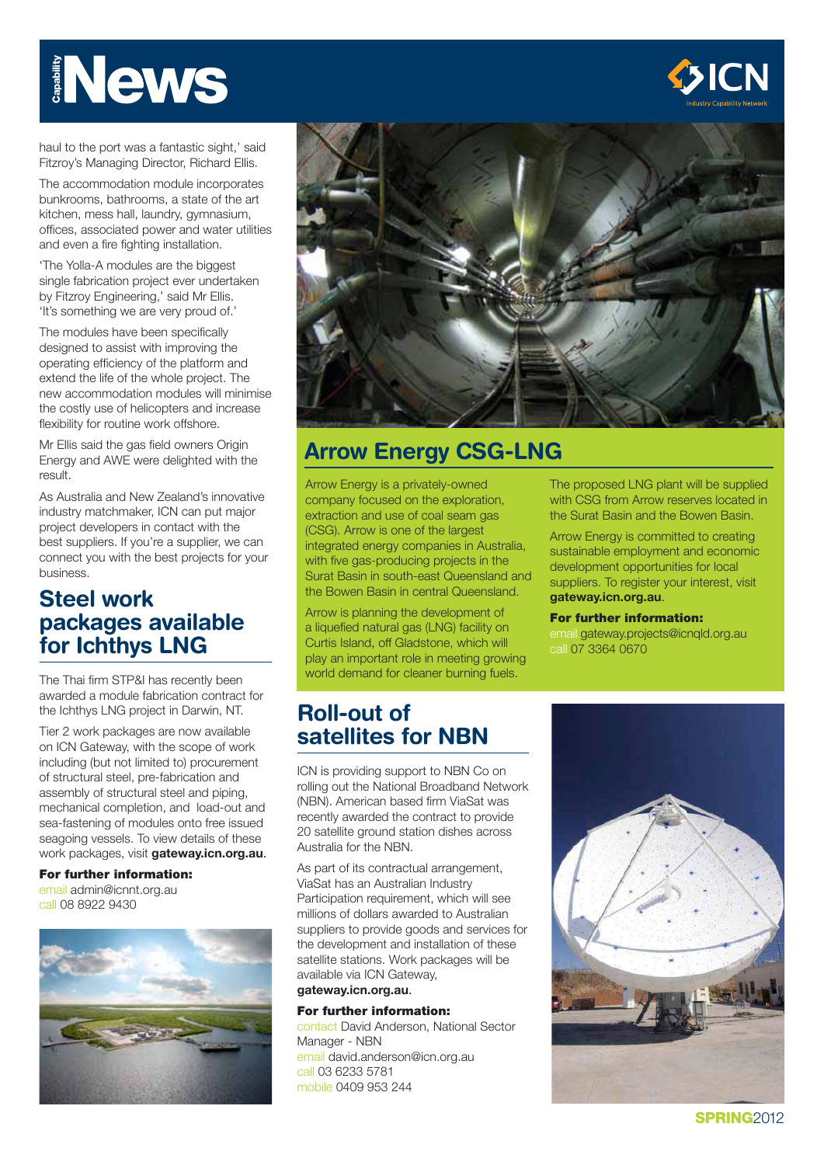# News



haul to the port was a fantastic sight,' said Fitzroy's Managing Director, Richard Ellis.

The accommodation module incorporates bunkrooms, bathrooms, a state of the art kitchen, mess hall, laundry, gymnasium, offices, associated power and water utilities and even a fire fighting installation.

'The Yolla-A modules are the biggest single fabrication project ever undertaken by Fitzroy Engineering,' said Mr Ellis. 'It's something we are very proud of.'

The modules have been specifically designed to assist with improving the operating efficiency of the platform and extend the life of the whole project. The new accommodation modules will minimise the costly use of helicopters and increase flexibility for routine work offshore.

Mr Ellis said the gas field owners Origin Energy and AWE were delighted with the result.

As Australia and New Zealand's innovative industry matchmaker, ICN can put major project developers in contact with the best suppliers. If you're a supplier, we can connect you with the best projects for your business.

# **Steel work packages available for Ichthys LNG**

The Thai firm STP&I has recently been awarded a module fabrication contract for the Ichthys LNG project in Darwin, NT.

Tier 2 work packages are now available on ICN Gateway, with the scope of work including (but not limited to) procurement of structural steel, pre-fabrication and assembly of structural steel and piping, mechanical completion, and load-out and sea-fastening of modules onto free issued seagoing vessels. To view details of these work packages, visit **gateway.icn.org.au**. **Example 18 80**<br>
Fitzroy's Managing<br>
The accommodati<br>
bunkrooms, bathre<br>
kitchen, mess hall<br>
offices, associated<br>
and even a fire fight<br>
"The Yolla-A modul<br>
single fabrication to<br>
by Fitzroy Enginee<br>
"It's something we<br>
de

#### For further information:

email admin@icnnt.org.au call 08 8922 9430





# **Arrow Energy CSG-LNG**

Arrow Energy is a privately-owned company focused on the exploration, extraction and use of coal seam gas (CSG). Arrow is one of the largest integrated energy companies in Australia, with five gas-producing projects in the Surat Basin in south-east Queensland and the Bowen Basin in central Queensland.

Arrow is planning the development of a liquefied natural gas (LNG) facility on Curtis Island, off Gladstone, which will play an important role in meeting growing world demand for cleaner burning fuels.

# **Roll-out of satellites for NBN**

ICN is providing support to NBN Co on rolling out the National Broadband Network (NBN). American based firm ViaSat was recently awarded the contract to provide 20 satellite ground station dishes across Australia for the NBN.

As part of its contractual arrangement, ViaSat has an Australian Industry Participation requirement, which will see millions of dollars awarded to Australian suppliers to provide goods and services for the development and installation of these satellite stations. Work packages will be available via ICN Gateway,

### **gateway.icn.org.au**.

For further information: contact David Anderson, National Sector Manager - NBN email david.anderson@icn.org.au call 03 6233 5781 mobile 0409 953 244

The proposed LNG plant will be supplied with CSG from Arrow reserves located in the Surat Basin and the Bowen Basin.

Arrow Energy is committed to creating sustainable employment and economic development opportunities for local suppliers. To register your interest, visit **gateway.icn.org.au**.

#### For further information:

email gateway.projects@icnqld.org.au call 07 3364 0670



SPRING<sub>2012</sub>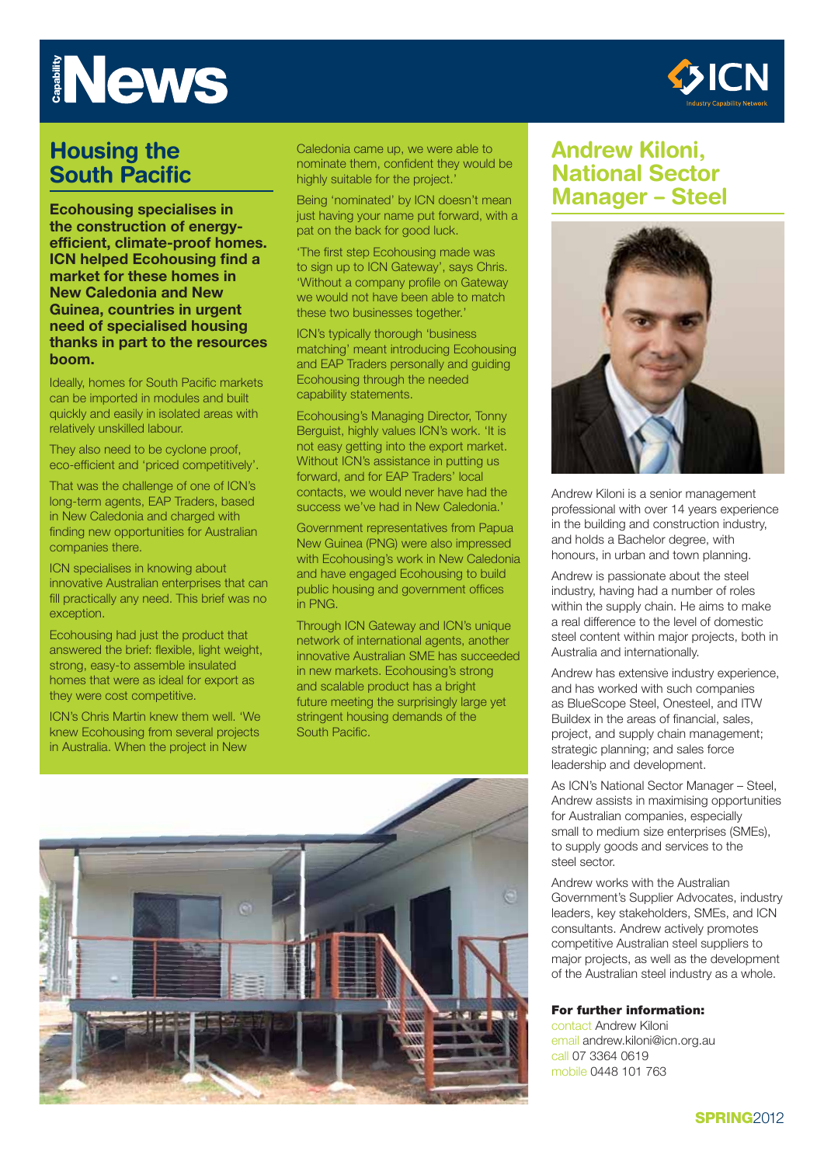

# **Housing the South Pacific**

**Ecohousing specialises in the construction of energyefficient, climate-proof homes. ICN helped Ecohousing find a market for these homes in New Caledonia and New Guinea, countries in urgent need of specialised housing thanks in part to the resources boom.**

Ideally, homes for South Pacific markets can be imported in modules and built quickly and easily in isolated areas with relatively unskilled labour.

They also need to be cyclone proof, eco-efficient and 'priced competitively'.

That was the challenge of one of ICN's long-term agents, EAP Traders, based in New Caledonia and charged with finding new opportunities for Australian companies there.

ICN specialises in knowing about innovative Australian enterprises that can fill practically any need. This brief was no exception.

Ecohousing had just the product that answered the brief: flexible, light weight, strong, easy-to assemble insulated homes that were as ideal for export as they were cost competitive.

ICN's Chris Martin knew them well. 'We knew Ecohousing from several projects in Australia. When the project in New

Caledonia came up, we were able to nominate them, confident they would be highly suitable for the project.'

Being 'nominated' by ICN doesn't mean just having your name put forward, with a pat on the back for good luck.

'The first step Ecohousing made was to sign up to ICN Gateway', says Chris. 'Without a company profile on Gateway we would not have been able to match these two businesses together.'

ICN's typically thorough 'business matching' meant introducing Ecohousing and EAP Traders personally and guiding Ecohousing through the needed capability statements.

Ecohousing's Managing Director, Tonny Berguist, highly values ICN's work. 'It is not easy getting into the export market. Without ICN's assistance in putting us forward, and for EAP Traders' local contacts, we would never have had the success we've had in New Caledonia.'

Government representatives from Papua New Guinea (PNG) were also impressed with Ecohousing's work in New Caledonia and have engaged Ecohousing to build public housing and government offices in PNG.

Through ICN Gateway and ICN's unique network of international agents, another innovative Australian SME has succeeded in new markets. Ecohousing's strong and scalable product has a bright future meeting the surprisingly large yet stringent housing demands of the South Pacific.



# **Andrew Kiloni, National Sector Manager – Steel**



Andrew Kiloni is a senior management professional with over 14 years experience in the building and construction industry, and holds a Bachelor degree, with honours, in urban and town planning.

Andrew is passionate about the steel industry, having had a number of roles within the supply chain. He aims to make a real difference to the level of domestic steel content within major projects, both in Australia and internationally.

Andrew has extensive industry experience, and has worked with such companies as BlueScope Steel, Onesteel, and ITW Buildex in the areas of financial, sales, project, and supply chain management; strategic planning; and sales force leadership and development.

As ICN's National Sector Manager – Steel, Andrew assists in maximising opportunities for Australian companies, especially small to medium size enterprises (SMEs), to supply goods and services to the steel sector.

Andrew works with the Australian Government's Supplier Advocates, industry leaders, key stakeholders, SMEs, and ICN consultants. Andrew actively promotes competitive Australian steel suppliers to major projects, as well as the development of the Australian steel industry as a whole.

#### For further information:

contact Andrew Kiloni email andrew.kiloni@icn.org.au call 07 3364 0619 mobile 0448 101 763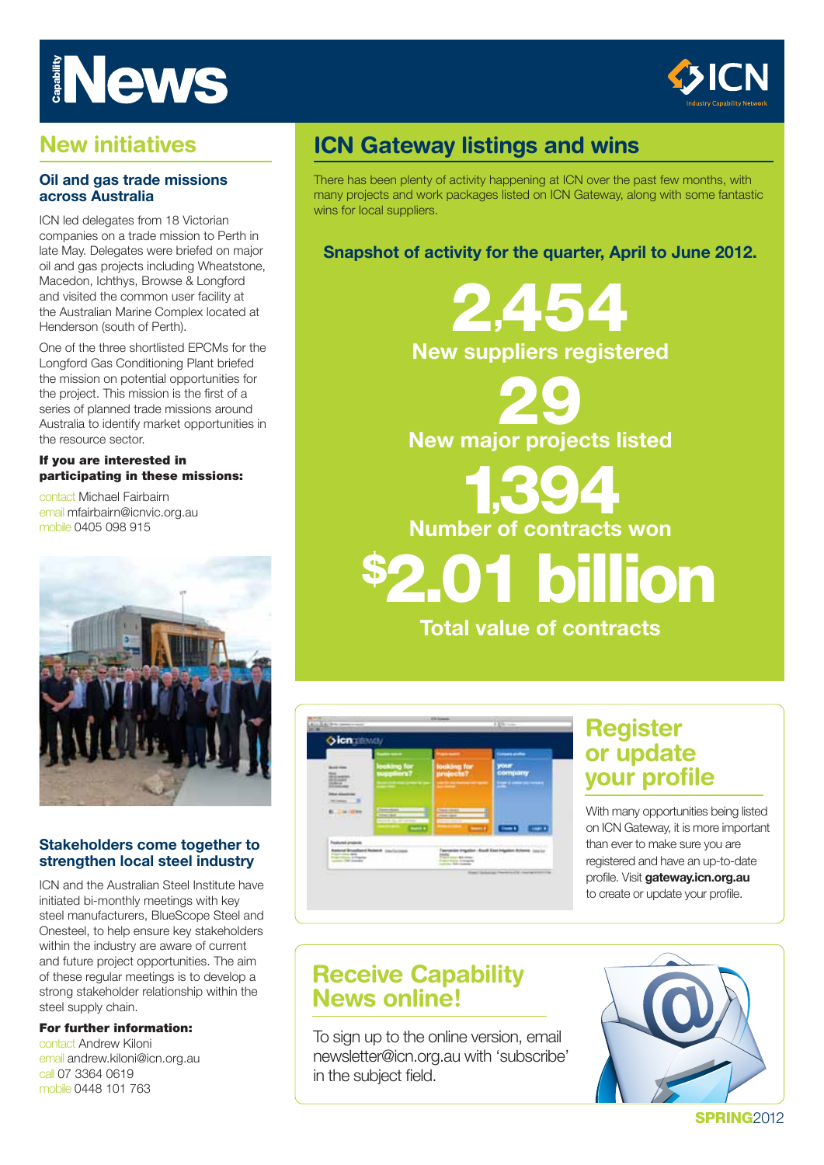

# **New initiatives**

### **Oil and gas trade missions across Australia**

ICN led delegates from 18 Victorian companies on a trade mission to Perth in late May. Delegates were briefed on major oil and gas projects including Wheatstone, Macedon, Ichthys, Browse & Longford and visited the common user facility at the Australian Marine Complex located at Henderson (south of Perth).

One of the three shortlisted EPCMs for the Longford Gas Conditioning Plant briefed the mission on potential opportunities for the project. This mission is the first of a series of planned trade missions around Australia to identify market opportunities in the resource sector.

### If you are interested in participating in these missions:

contact Michael Fairbairn email mfairbairn@icnvic.org.au mobile 0405 098 915



### **Stakeholders come together to strengthen local steel industry**

ICN and the Australian Steel Institute have initiated bi-monthly meetings with key steel manufacturers, BlueScope Steel and Onesteel, to help ensure key stakeholders within the industry are aware of current and future project opportunities. The aim of these regular meetings is to develop a strong stakeholder relationship within the steel supply chain.

### For further information:

contact Andrew Kiloni email andrew.kiloni@icn.org.au call 07 3364 0619 mobile 0448 101 763

# **ICN Gateway listings and wins**

There has been plenty of activity happening at ICN over the past few months, with many projects and work packages listed on ICN Gateway, along with some fantastic wins for local suppliers.

### **Snapshot of activity for the quarter, April to June 2012.**



29 **New major projects listed**

1,394

**Number of contracts won**

on lion

**Total value of contracts** 



# **Register or update your profile**

With many opportunities being listed on ICN Gateway, it is more important than ever to make sure you are registered and have an up-to-date profile. Visit **gateway.icn.org.au** to create or update your profile.

# **Receive Capability News online!**

To sign up to the online version, email newsletter@icn.org.au with 'subscribe' in the subject field.



**SPRING2012**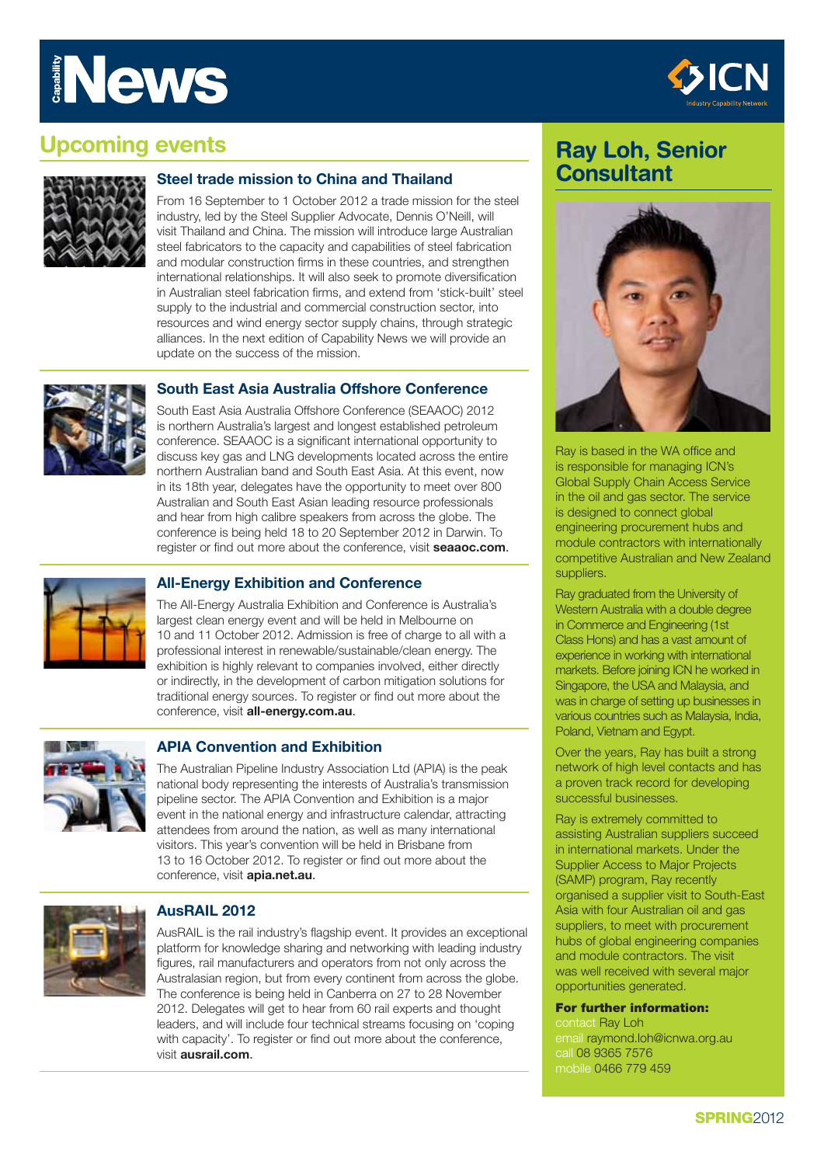

# **Upcoming events**



### **Steel trade mission to China and Thailand**

From 16 September to 1 October 2012 a trade mission for the steel industry, led by the Steel Supplier Advocate, Dennis O'Neill, will visit Thailand and China. The mission will introduce large Australian steel fabricators to the capacity and capabilities of steel fabrication and modular construction firms in these countries, and strengthen international relationships. It will also seek to promote diversification in Australian steel fabrication firms, and extend from 'stick-built' steel supply to the industrial and commercial construction sector, into resources and wind energy sector supply chains, through strategic alliances. In the next edition of Capability News we will provide an update on the success of the mission.



### **South East Asia Australia Offshore Conference**

South East Asia Australia Offshore Conference (SEAAOC) 2012 is northern Australia's largest and longest established petroleum conference. SEAAOC is a significant international opportunity to discuss key gas and LNG developments located across the entire northern Australian band and South East Asia. At this event, now in its 18th year, delegates have the opportunity to meet over 800 Australian and South East Asian leading resource professionals and hear from high calibre speakers from across the globe. The conference is being held 18 to 20 September 2012 in Darwin. To register or find out more about the conference, visit **seaaoc.com**.



### **All-Energy Exhibition and Conference**

The All-Energy Australia Exhibition and Conference is Australia's largest clean energy event and will be held in Melbourne on 10 and 11 October 2012. Admission is free of charge to all with a professional interest in renewable/sustainable/clean energy. The exhibition is highly relevant to companies involved, either directly or indirectly, in the development of carbon mitigation solutions for traditional energy sources. To register or find out more about the conference, visit **all-energy.com.au**.



### **APIA Convention and Exhibition**

The Australian Pipeline Industry Association Ltd (APIA) is the peak national body representing the interests of Australia's transmission pipeline sector. The APIA Convention and Exhibition is a major event in the national energy and infrastructure calendar, attracting attendees from around the nation, as well as many international visitors. This year's convention will be held in Brisbane from 13 to 16 October 2012. To register or find out more about the conference, visit **apia.net.au**.



### **AusRAIL 2012**

AusRAIL is the rail industry's flagship event. It provides an exceptional platform for knowledge sharing and networking with leading industry figures, rail manufacturers and operators from not only across the Australasian region, but from every continent from across the globe. The conference is being held in Canberra on 27 to 28 November 2012. Delegates will get to hear from 60 rail experts and thought leaders, and will include four technical streams focusing on 'coping with capacity'. To register or find out more about the conference, visit **ausrail.com**.

# **Ray Loh, Senior Consultant**



Ray is based in the WA office and is responsible for managing ICN's Global Supply Chain Access Service in the oil and gas sector. The service is designed to connect global engineering procurement hubs and module contractors with internationally competitive Australian and New Zealand suppliers.

Ray graduated from the University of Western Australia with a double degree in Commerce and Engineering (1st Class Hons) and has a vast amount of experience in working with international markets. Before joining ICN he worked in Singapore, the USA and Malaysia, and was in charge of setting up businesses in various countries such as Malaysia, India, Poland, Vietnam and Egypt.

Over the years, Ray has built a strong network of high level contacts and has a proven track record for developing successful businesses.

Ray is extremely committed to assisting Australian suppliers succeed in international markets. Under the Supplier Access to Major Projects (SAMP) program, Ray recently organised a supplier visit to South-East Asia with four Australian oil and gas suppliers, to meet with procurement hubs of global engineering companies and module contractors. The visit was well received with several major opportunities generated.

#### For further information:

contact Ray Loh email raymond.loh@icnwa.org.au call 08 9365 7576 mobile 0466 779 459